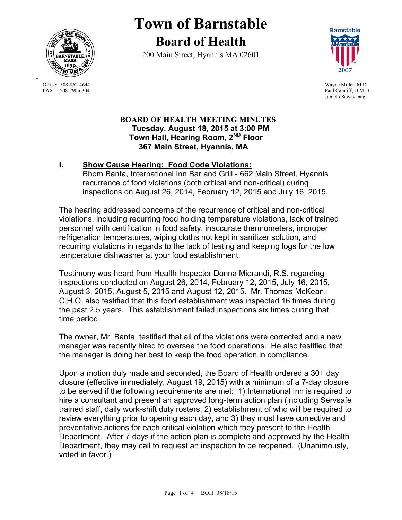

**Town of Barnstable Board of Health**

200 Main Street, Hyannis MA 02601



Paul Canniff, D.M.D. Junichi Sawayanagi

#### **BOARD OF HEALTH MEETING MINUTES Tuesday, August 18, 2015 at 3:00 PM Town Hall, Hearing Room, 2ND Floor 367 Main Street, Hyannis, MA**

# **I. Show Cause Hearing: Food Code Violations:**

Bhom Banta, International Inn Bar and Grill - 662 Main Street, Hyannis recurrence of food violations (both critical and non-critical) during inspections on August 26, 2014, February 12, 2015 and July 16, 2015.

The hearing addressed concerns of the recurrence of critical and non-critical violations, including recurring food holding temperature violations, lack of trained personnel with certification in food safety, inaccurate thermometers, improper refrigeration temperatures, wiping cloths not kept in sanitizer solution, and recurring violations in regards to the lack of testing and keeping logs for the low temperature dishwasher at your food establishment.

Testimony was heard from Health Inspector Donna Miorandi, R.S. regarding inspections conducted on August 26, 2014, February 12, 2015, July 16, 2015, August 3, 2015, August 5, 2015 and August 12, 2015. Mr. Thomas McKean, C.H.O. also testified that this food establishment was inspected 16 times during the past 2.5 years. This establishment failed inspections six times during that time period.

The owner, Mr. Banta, testified that all of the violations were corrected and a new manager was recently hired to oversee the food operations. He also testified that the manager is doing her best to keep the food operation in compliance.

Upon a motion duly made and seconded, the Board of Health ordered a 30+ day closure (effective immediately, August 19, 2015) with a minimum of a 7-day closure to be served if the following requirements are met: 1) International Inn is required to hire a consultant and present an approved long-term action plan (including Servsafe trained staff, daily work-shift duty rosters, 2) establishment of who will be required to review everything prior to opening each day, and 3) they must have corrective and preventative actions for each critical violation which they present to the Health Department. After 7 days if the action plan is complete and approved by the Health Department, they may call to request an inspection to be reopened. (Unanimously, voted in favor.)

Office: 508-862-4644 Wayne Miller, M.D.<br>
FAX: 508-790-6304 Paul Canniff. D.M.D

-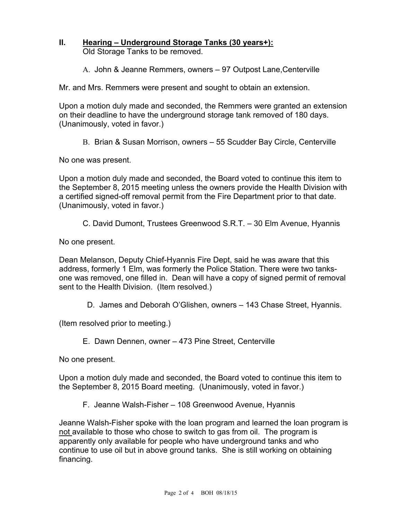## **II. Hearing – Underground Storage Tanks (30 years+):**  Old Storage Tanks to be removed.

A. John & Jeanne Remmers, owners – 97 Outpost Lane,Centerville

Mr. and Mrs. Remmers were present and sought to obtain an extension.

Upon a motion duly made and seconded, the Remmers were granted an extension on their deadline to have the underground storage tank removed of 180 days. (Unanimously, voted in favor.)

B. Brian & Susan Morrison, owners – 55 Scudder Bay Circle, Centerville

No one was present.

Upon a motion duly made and seconded, the Board voted to continue this item to the September 8, 2015 meeting unless the owners provide the Health Division with a certified signed-off removal permit from the Fire Department prior to that date. (Unanimously, voted in favor.)

C. David Dumont, Trustees Greenwood S.R.T. – 30 Elm Avenue, Hyannis

No one present.

Dean Melanson, Deputy Chief-Hyannis Fire Dept, said he was aware that this address, formerly 1 Elm, was formerly the Police Station. There were two tanksone was removed, one filled in. Dean will have a copy of signed permit of removal sent to the Health Division. (Item resolved.)

D. James and Deborah O'Glishen, owners – 143 Chase Street, Hyannis.

(Item resolved prior to meeting.)

E. Dawn Dennen, owner – 473 Pine Street, Centerville

No one present.

Upon a motion duly made and seconded, the Board voted to continue this item to the September 8, 2015 Board meeting. (Unanimously, voted in favor.)

F. Jeanne Walsh-Fisher – 108 Greenwood Avenue, Hyannis

Jeanne Walsh-Fisher spoke with the loan program and learned the loan program is not available to those who chose to switch to gas from oil. The program is apparently only available for people who have underground tanks and who continue to use oil but in above ground tanks. She is still working on obtaining financing.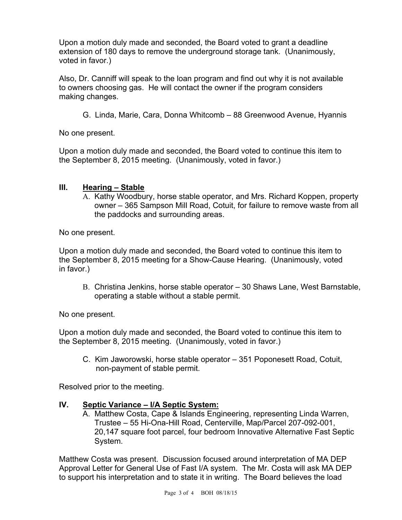Upon a motion duly made and seconded, the Board voted to grant a deadline extension of 180 days to remove the underground storage tank. (Unanimously, voted in favor.)

Also, Dr. Canniff will speak to the loan program and find out why it is not available to owners choosing gas. He will contact the owner if the program considers making changes.

G. Linda, Marie, Cara, Donna Whitcomb – 88 Greenwood Avenue, Hyannis

No one present.

Upon a motion duly made and seconded, the Board voted to continue this item to the September 8, 2015 meeting. (Unanimously, voted in favor.)

#### **III. Hearing – Stable**

A. Kathy Woodbury, horse stable operator, and Mrs. Richard Koppen, property owner – 365 Sampson Mill Road, Cotuit, for failure to remove waste from all the paddocks and surrounding areas.

No one present.

Upon a motion duly made and seconded, the Board voted to continue this item to the September 8, 2015 meeting for a Show-Cause Hearing. (Unanimously, voted in favor.)

B. Christina Jenkins, horse stable operator – 30 Shaws Lane, West Barnstable, operating a stable without a stable permit.

No one present.

Upon a motion duly made and seconded, the Board voted to continue this item to the September 8, 2015 meeting. (Unanimously, voted in favor.)

C. Kim Jaworowski, horse stable operator – 351 Poponesett Road, Cotuit, non-payment of stable permit.

Resolved prior to the meeting.

## **IV. Septic Variance – I/A Septic System:**

A. Matthew Costa, Cape & Islands Engineering, representing Linda Warren, Trustee – 55 Hi-Ona-Hill Road, Centerville, Map/Parcel 207-092-001, 20,147 square foot parcel, four bedroom Innovative Alternative Fast Septic System.

Matthew Costa was present. Discussion focused around interpretation of MA DEP Approval Letter for General Use of Fast I/A system. The Mr. Costa will ask MA DEP to support his interpretation and to state it in writing. The Board believes the load